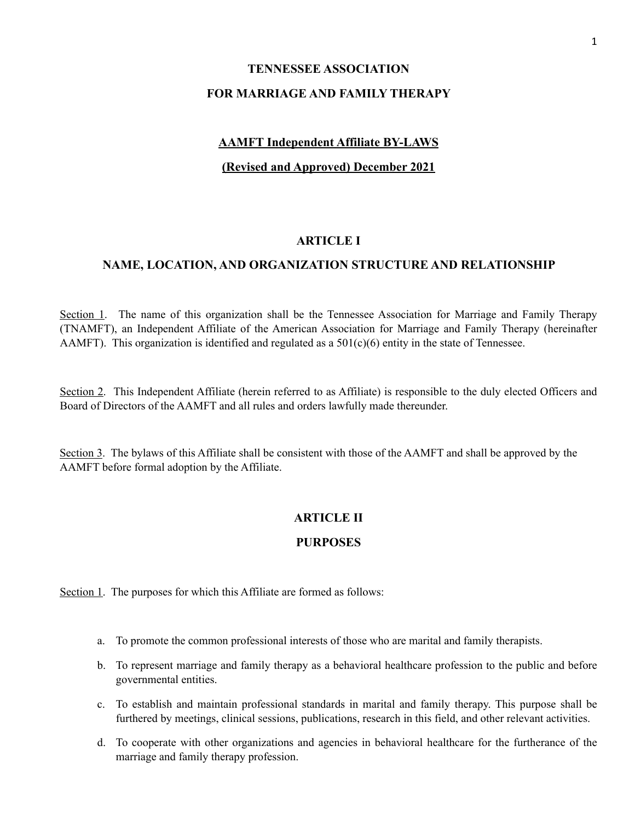# **TENNESSEE ASSOCIATION FOR MARRIAGE AND FAMILY THERAPY**

# **AAMFT Independent Affiliate BY-LAWS**

## **(Revised and Approved) December 2021**

#### **ARTICLE I**

## **NAME, LOCATION, AND ORGANIZATION STRUCTURE AND RELATIONSHIP**

Section 1. The name of this organization shall be the Tennessee Association for Marriage and Family Therapy (TNAMFT), an Independent Affiliate of the American Association for Marriage and Family Therapy (hereinafter AAMFT). This organization is identified and regulated as a  $501(c)(6)$  entity in the state of Tennessee.

Section 2. This Independent Affiliate (herein referred to as Affiliate) is responsible to the duly elected Officers and Board of Directors of the AAMFT and all rules and orders lawfully made thereunder.

Section 3. The bylaws of this Affiliate shall be consistent with those of the AAMFT and shall be approved by the AAMFT before formal adoption by the Affiliate.

# **ARTICLE II**

#### **PURPOSES**

Section 1. The purposes for which this Affiliate are formed as follows:

- a. To promote the common professional interests of those who are marital and family therapists.
- b. To represent marriage and family therapy as a behavioral healthcare profession to the public and before governmental entities.
- c. To establish and maintain professional standards in marital and family therapy. This purpose shall be furthered by meetings, clinical sessions, publications, research in this field, and other relevant activities.
- d. To cooperate with other organizations and agencies in behavioral healthcare for the furtherance of the marriage and family therapy profession.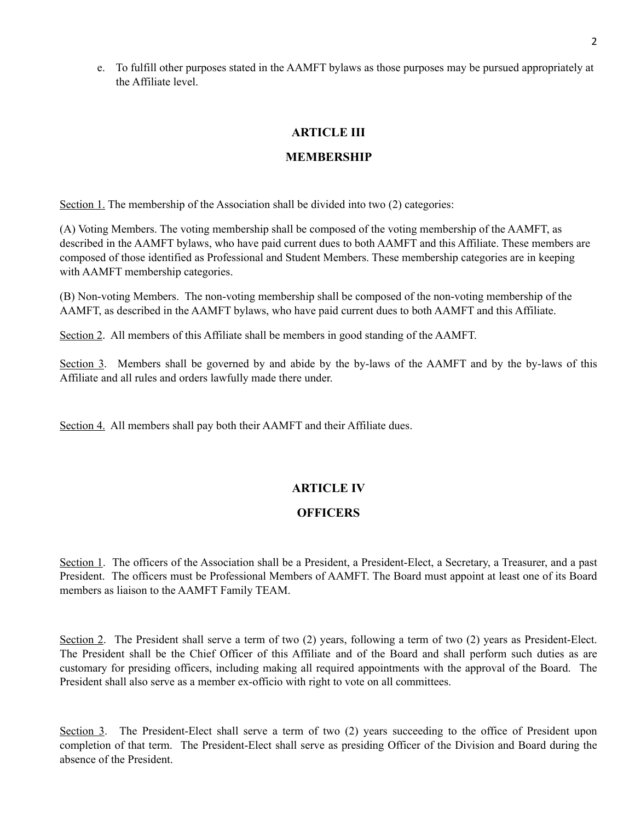e. To fulfill other purposes stated in the AAMFT bylaws as those purposes may be pursued appropriately at the Affiliate level.

## **ARTICLE III**

## **MEMBERSHIP**

Section 1. The membership of the Association shall be divided into two (2) categories:

(A) Voting Members. The voting membership shall be composed of the voting membership of the AAMFT, as described in the AAMFT bylaws, who have paid current dues to both AAMFT and this Affiliate. These members are composed of those identified as Professional and Student Members. These membership categories are in keeping with AAMFT membership categories.

(B) Non-voting Members. The non-voting membership shall be composed of the non-voting membership of the AAMFT, as described in the AAMFT bylaws, who have paid current dues to both AAMFT and this Affiliate.

Section 2. All members of this Affiliate shall be members in good standing of the AAMFT.

Section 3. Members shall be governed by and abide by the by-laws of the AAMFT and by the by-laws of this Affiliate and all rules and orders lawfully made there under.

Section 4. All members shall pay both their AAMFT and their Affiliate dues.

# **ARTICLE IV**

# **OFFICERS**

Section 1. The officers of the Association shall be a President, a President-Elect, a Secretary, a Treasurer, and a past President. The officers must be Professional Members of AAMFT. The Board must appoint at least one of its Board members as liaison to the AAMFT Family TEAM.

Section 2. The President shall serve a term of two (2) years, following a term of two (2) years as President-Elect. The President shall be the Chief Officer of this Affiliate and of the Board and shall perform such duties as are customary for presiding officers, including making all required appointments with the approval of the Board. The President shall also serve as a member ex-officio with right to vote on all committees.

Section 3. The President-Elect shall serve a term of two (2) years succeeding to the office of President upon completion of that term. The President-Elect shall serve as presiding Officer of the Division and Board during the absence of the President.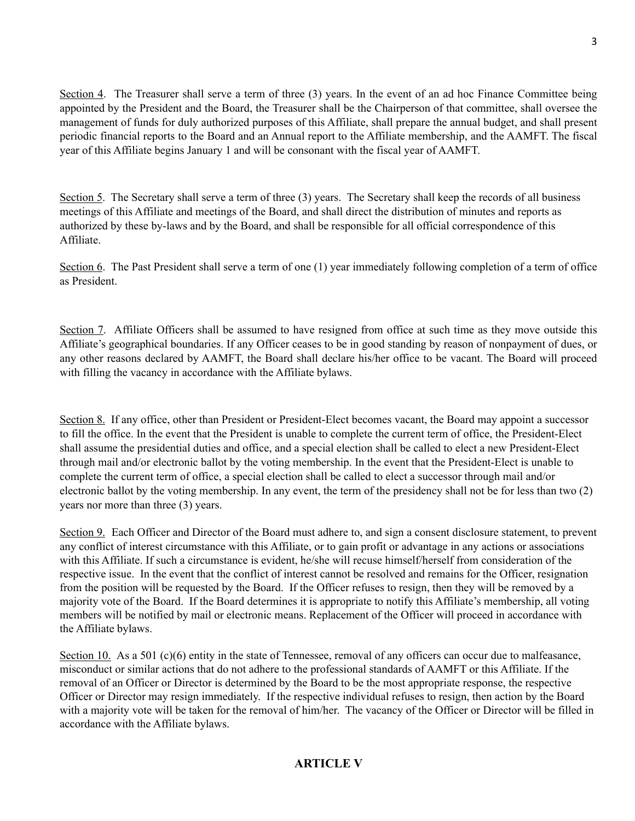Section 4. The Treasurer shall serve a term of three (3) years. In the event of an ad hoc Finance Committee being appointed by the President and the Board, the Treasurer shall be the Chairperson of that committee, shall oversee the management of funds for duly authorized purposes of this Affiliate, shall prepare the annual budget, and shall present periodic financial reports to the Board and an Annual report to the Affiliate membership, and the AAMFT. The fiscal year of this Affiliate begins January 1 and will be consonant with the fiscal year of AAMFT.

Section 5. The Secretary shall serve a term of three (3) years. The Secretary shall keep the records of all business meetings of this Affiliate and meetings of the Board, and shall direct the distribution of minutes and reports as authorized by these by-laws and by the Board, and shall be responsible for all official correspondence of this Affiliate.

Section 6. The Past President shall serve a term of one (1) year immediately following completion of a term of office as President.

Section 7. Affiliate Officers shall be assumed to have resigned from office at such time as they move outside this Affiliate's geographical boundaries. If any Officer ceases to be in good standing by reason of nonpayment of dues, or any other reasons declared by AAMFT, the Board shall declare his/her office to be vacant. The Board will proceed with filling the vacancy in accordance with the Affiliate bylaws.

Section 8. If any office, other than President or President-Elect becomes vacant, the Board may appoint a successor to fill the office. In the event that the President is unable to complete the current term of office, the President-Elect shall assume the presidential duties and office, and a special election shall be called to elect a new President-Elect through mail and/or electronic ballot by the voting membership. In the event that the President-Elect is unable to complete the current term of office, a special election shall be called to elect a successor through mail and/or electronic ballot by the voting membership. In any event, the term of the presidency shall not be for less than two (2) years nor more than three (3) years.

Section 9.Each Officer and Director of the Board must adhere to, and sign a consent disclosure statement, to prevent any conflict of interest circumstance with this Affiliate, or to gain profit or advantage in any actions or associations with this Affiliate. If such a circumstance is evident, he/she will recuse himself/herself from consideration of the respective issue. In the event that the conflict of interest cannot be resolved and remains for the Officer, resignation from the position will be requested by the Board. If the Officer refuses to resign, then they will be removed by a majority vote of the Board. If the Board determines it is appropriate to notify this Affiliate's membership, all voting members will be notified by mail or electronic means. Replacement of the Officer will proceed in accordance with the Affiliate bylaws.

Section 10. As a 501 (c)(6) entity in the state of Tennessee, removal of any officers can occur due to malfeasance, misconduct or similar actions that do not adhere to the professional standards of AAMFT or this Affiliate. If the removal of an Officer or Director is determined by the Board to be the most appropriate response, the respective Officer or Director may resign immediately. If the respective individual refuses to resign, then action by the Board with a majority vote will be taken for the removal of him/her. The vacancy of the Officer or Director will be filled in accordance with the Affiliate bylaws.

# **ARTICLE V**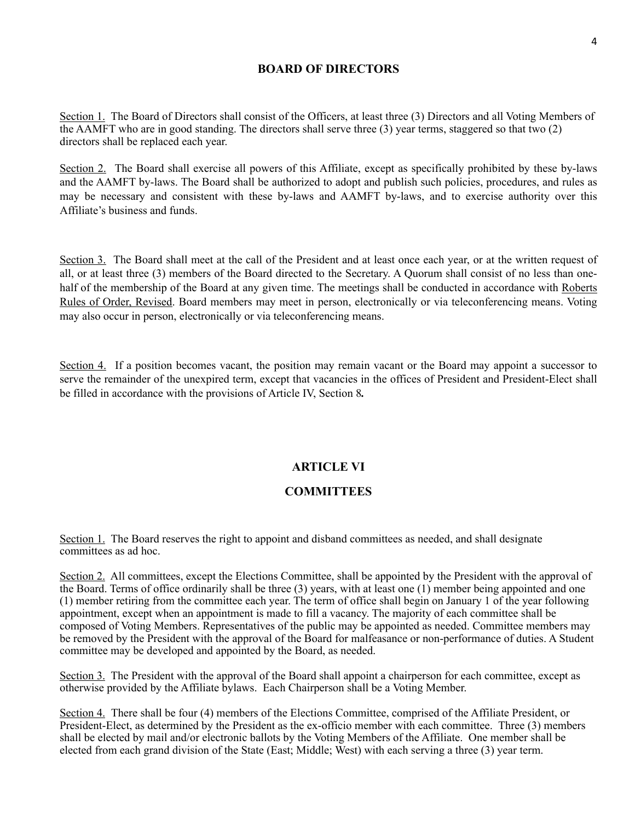## **BOARD OF DIRECTORS**

Section 1. The Board of Directors shall consist of the Officers, at least three (3) Directors and all Voting Members of the AAMFT who are in good standing. The directors shall serve three (3) year terms, staggered so that two (2) directors shall be replaced each year.

Section 2. The Board shall exercise all powers of this Affiliate, except as specifically prohibited by these by-laws and the AAMFT by-laws. The Board shall be authorized to adopt and publish such policies, procedures, and rules as may be necessary and consistent with these by-laws and AAMFT by-laws, and to exercise authority over this Affiliate's business and funds.

Section 3. The Board shall meet at the call of the President and at least once each year, or at the written request of all, or at least three (3) members of the Board directed to the Secretary. A Quorum shall consist of no less than onehalf of the membership of the Board at any given time. The meetings shall be conducted in accordance with Roberts Rules of Order, Revised. Board members may meet in person, electronically or via teleconferencing means. Voting may also occur in person, electronically or via teleconferencing means.

Section 4. If a position becomes vacant, the position may remain vacant or the Board may appoint a successor to serve the remainder of the unexpired term, except that vacancies in the offices of President and President-Elect shall be filled in accordance with the provisions of Article IV, Section 8*.*

# **ARTICLE VI**

#### **COMMITTEES**

Section 1. The Board reserves the right to appoint and disband committees as needed, and shall designate committees as ad hoc.

Section 2. All committees, except the Elections Committee, shall be appointed by the President with the approval of the Board. Terms of office ordinarily shall be three (3) years, with at least one (1) member being appointed and one (1) member retiring from the committee each year. The term of office shall begin on January 1 of the year following appointment, except when an appointment is made to fill a vacancy. The majority of each committee shall be composed of Voting Members. Representatives of the public may be appointed as needed. Committee members may be removed by the President with the approval of the Board for malfeasance or non-performance of duties. A Student committee may be developed and appointed by the Board, as needed.

Section 3. The President with the approval of the Board shall appoint a chairperson for each committee, except as otherwise provided by the Affiliate bylaws. Each Chairperson shall be a Voting Member.

Section 4.There shall be four (4) members of the Elections Committee, comprised of the Affiliate President, or President-Elect, as determined by the President as the ex-officio member with each committee. Three (3) members shall be elected by mail and/or electronic ballots by the Voting Members of the Affiliate. One member shall be elected from each grand division of the State (East; Middle; West) with each serving a three (3) year term.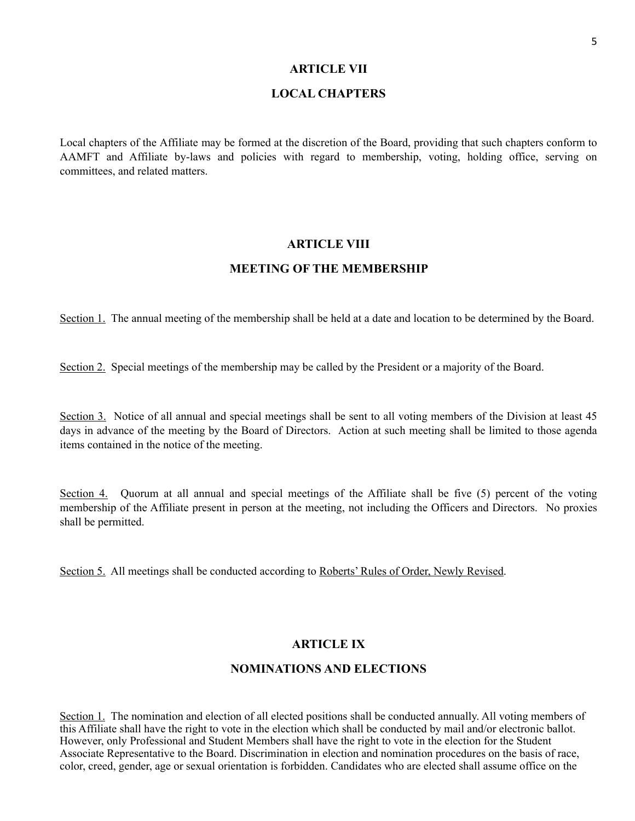#### **ARTICLE VII**

#### **LOCAL CHAPTERS**

Local chapters of the Affiliate may be formed at the discretion of the Board, providing that such chapters conform to AAMFT and Affiliate by-laws and policies with regard to membership, voting, holding office, serving on committees, and related matters.

#### **ARTICLE VIII**

#### **MEETING OF THE MEMBERSHIP**

Section 1. The annual meeting of the membership shall be held at a date and location to be determined by the Board.

Section 2. Special meetings of the membership may be called by the President or a majority of the Board.

Section 3. Notice of all annual and special meetings shall be sent to all voting members of the Division at least 45 days in advance of the meeting by the Board of Directors. Action at such meeting shall be limited to those agenda items contained in the notice of the meeting.

Section 4. Quorum at all annual and special meetings of the Affiliate shall be five (5) percent of the voting membership of the Affiliate present in person at the meeting, not including the Officers and Directors. No proxies shall be permitted.

Section 5. All meetings shall be conducted according to Roberts' Rules of Order, Newly Revised.

## **ARTICLE IX**

#### **NOMINATIONS AND ELECTIONS**

Section 1. The nomination and election of all elected positions shall be conducted annually. All voting members of this Affiliate shall have the right to vote in the election which shall be conducted by mail and/or electronic ballot. However, only Professional and Student Members shall have the right to vote in the election for the Student Associate Representative to the Board. Discrimination in election and nomination procedures on the basis of race, color, creed, gender, age or sexual orientation is forbidden. Candidates who are elected shall assume office on the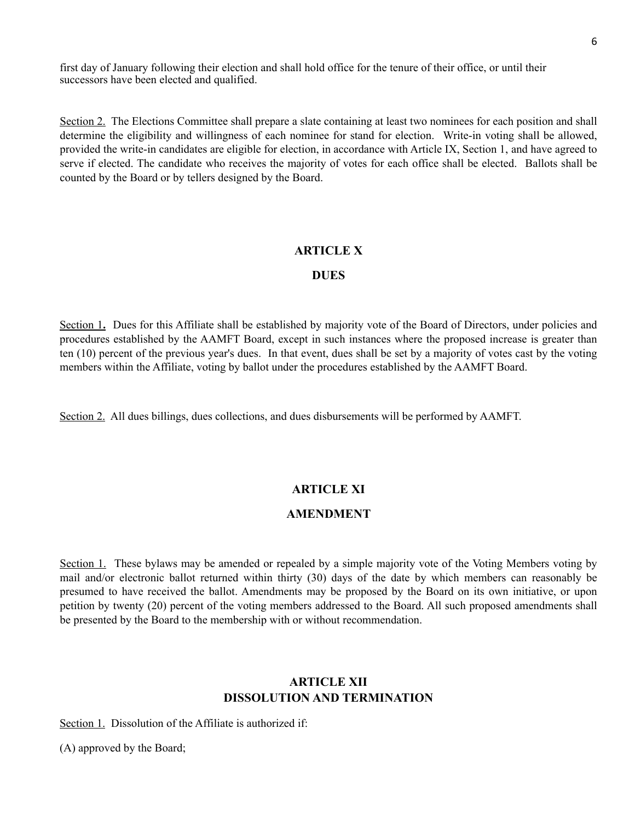first day of January following their election and shall hold office for the tenure of their office, or until their successors have been elected and qualified.

Section 2. The Elections Committee shall prepare a slate containing at least two nominees for each position and shall determine the eligibility and willingness of each nominee for stand for election. Write-in voting shall be allowed, provided the write-in candidates are eligible for election, in accordance with Article IX, Section 1, and have agreed to serve if elected. The candidate who receives the majority of votes for each office shall be elected. Ballots shall be counted by the Board or by tellers designed by the Board.

#### **ARTICLE X**

#### **DUES**

Section 1. Dues for this Affiliate shall be established by majority vote of the Board of Directors, under policies and procedures established by the AAMFT Board, except in such instances where the proposed increase is greater than ten (10) percent of the previous year's dues. In that event, dues shall be set by a majority of votes cast by the voting members within the Affiliate, voting by ballot under the procedures established by the AAMFT Board.

Section 2. All dues billings, dues collections, and dues disbursements will be performed by AAMFT.

#### **ARTICLE XI**

#### **AMENDMENT**

Section 1. These bylaws may be amended or repealed by a simple majority vote of the Voting Members voting by mail and/or electronic ballot returned within thirty (30) days of the date by which members can reasonably be presumed to have received the ballot. Amendments may be proposed by the Board on its own initiative, or upon petition by twenty (20) percent of the voting members addressed to the Board. All such proposed amendments shall be presented by the Board to the membership with or without recommendation.

## **ARTICLE XII DISSOLUTION AND TERMINATION**

Section 1. Dissolution of the Affiliate is authorized if:

(A) approved by the Board;